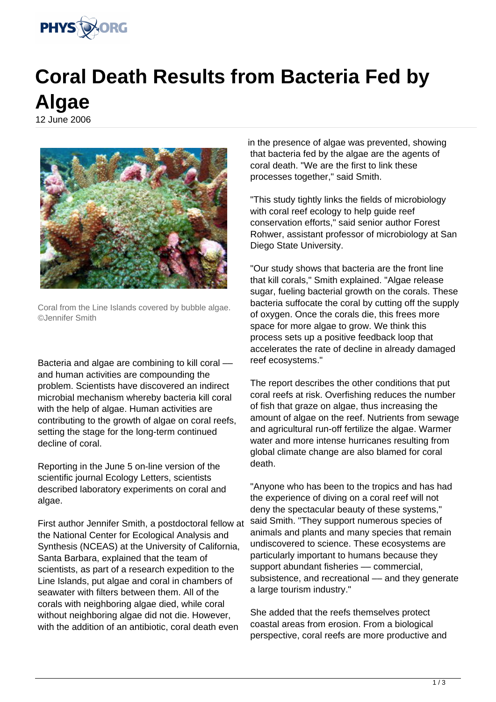

## **Coral Death Results from Bacteria Fed by Algae**

12 June 2006



Coral from the Line Islands covered by bubble algae. ©Jennifer Smith

Bacteria and algae are combining to kill coral and human activities are compounding the problem. Scientists have discovered an indirect microbial mechanism whereby bacteria kill coral with the help of algae. Human activities are contributing to the growth of algae on coral reefs, setting the stage for the long-term continued decline of coral.

Reporting in the June 5 on-line version of the scientific journal Ecology Letters, scientists described laboratory experiments on coral and algae.

First author Jennifer Smith, a postdoctoral fellow at the National Center for Ecological Analysis and Synthesis (NCEAS) at the University of California, Santa Barbara, explained that the team of scientists, as part of a research expedition to the Line Islands, put algae and coral in chambers of seawater with filters between them. All of the corals with neighboring algae died, while coral without neighboring algae did not die. However, with the addition of an antibiotic, coral death even

in the presence of algae was prevented, showing that bacteria fed by the algae are the agents of coral death. "We are the first to link these processes together," said Smith.

"This study tightly links the fields of microbiology with coral reef ecology to help guide reef conservation efforts," said senior author Forest Rohwer, assistant professor of microbiology at San Diego State University.

"Our study shows that bacteria are the front line that kill corals," Smith explained. "Algae release sugar, fueling bacterial growth on the corals. These bacteria suffocate the coral by cutting off the supply of oxygen. Once the corals die, this frees more space for more algae to grow. We think this process sets up a positive feedback loop that accelerates the rate of decline in already damaged reef ecosystems."

The report describes the other conditions that put coral reefs at risk. Overfishing reduces the number of fish that graze on algae, thus increasing the amount of algae on the reef. Nutrients from sewage and agricultural run-off fertilize the algae. Warmer water and more intense hurricanes resulting from global climate change are also blamed for coral death.

"Anyone who has been to the tropics and has had the experience of diving on a coral reef will not deny the spectacular beauty of these systems," said Smith. "They support numerous species of animals and plants and many species that remain undiscovered to science. These ecosystems are particularly important to humans because they support abundant fisheries –– commercial, subsistence, and recreational - and they generate a large tourism industry."

She added that the reefs themselves protect coastal areas from erosion. From a biological perspective, coral reefs are more productive and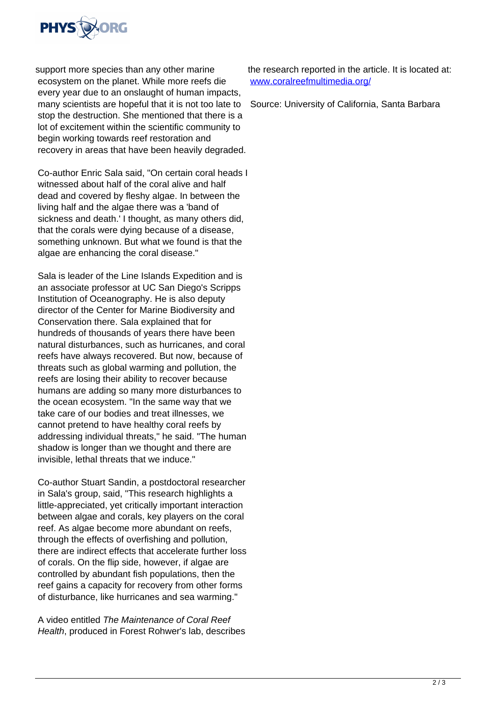

support more species than any other marine ecosystem on the planet. While more reefs die every year due to an onslaught of human impacts, many scientists are hopeful that it is not too late to stop the destruction. She mentioned that there is a lot of excitement within the scientific community to begin working towards reef restoration and recovery in areas that have been heavily degraded.

Co-author Enric Sala said, "On certain coral heads I witnessed about half of the coral alive and half dead and covered by fleshy algae. In between the living half and the algae there was a 'band of sickness and death.' I thought, as many others did, that the corals were dying because of a disease, something unknown. But what we found is that the algae are enhancing the coral disease."

Sala is leader of the Line Islands Expedition and is an associate professor at UC San Diego's Scripps Institution of Oceanography. He is also deputy director of the Center for Marine Biodiversity and Conservation there. Sala explained that for hundreds of thousands of years there have been natural disturbances, such as hurricanes, and coral reefs have always recovered. But now, because of threats such as global warming and pollution, the reefs are losing their ability to recover because humans are adding so many more disturbances to the ocean ecosystem. "In the same way that we take care of our bodies and treat illnesses, we cannot pretend to have healthy coral reefs by addressing individual threats," he said. "The human shadow is longer than we thought and there are invisible, lethal threats that we induce."

Co-author Stuart Sandin, a postdoctoral researcher in Sala's group, said, "This research highlights a little-appreciated, yet critically important interaction between algae and corals, key players on the coral reef. As algae become more abundant on reefs, through the effects of overfishing and pollution, there are indirect effects that accelerate further loss of corals. On the flip side, however, if algae are controlled by abundant fish populations, then the reef gains a capacity for recovery from other forms of disturbance, like hurricanes and sea warming."

A video entitled The Maintenance of Coral Reef Health, produced in Forest Rohwer's lab, describes

the research reported in the article. It is located at: [www.coralreefmultimedia.org/](http://www.coralreefmultimedia.org/)

Source: University of California, Santa Barbara